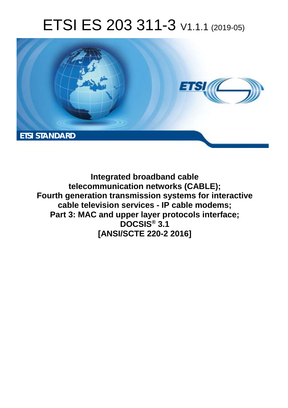# ETSI ES 203 311-3 V1.1.1 (2019-05)



**Integrated broadband cable telecommunication networks (CABLE); Fourth generation transmission systems for interactive cable television services - IP cable modems; Part 3: MAC and upper layer protocols interface; DOCSIS® 3.1 [ANSI/SCTE 220-2 2016]**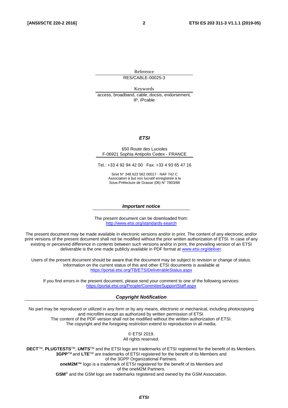Reference RES/CABLE-00025-3

Keywords access, broadband, cable, docsis, endorsement, IP, IPcable

#### *ETSI*

#### 650 Route des Lucioles F-06921 Sophia Antipolis Cedex - FRANCE

Tel.: +33 4 92 94 42 00 Fax: +33 4 93 65 47 16

Siret N° 348 623 562 00017 - NAF 742 C Association à but non lucratif enregistrée à la Sous-Préfecture de Grasse (06) N° 7803/88

#### *Important notice*

The present document can be downloaded from: <http://www.etsi.org/standards-search>

The present document may be made available in electronic versions and/or in print. The content of any electronic and/or print versions of the present document shall not be modified without the prior written authorization of ETSI. In case of any existing or perceived difference in contents between such versions and/or in print, the prevailing version of an ETSI deliverable is the one made publicly available in PDF format at [www.etsi.org/deliver](http://www.etsi.org/deliver).

Users of the present document should be aware that the document may be subject to revision or change of status. Information on the current status of this and other ETSI documents is available at <https://portal.etsi.org/TB/ETSIDeliverableStatus.aspx>

If you find errors in the present document, please send your comment to one of the following services: <https://portal.etsi.org/People/CommiteeSupportStaff.aspx>

#### *Copyright Notification*

No part may be reproduced or utilized in any form or by any means, electronic or mechanical, including photocopying and microfilm except as authorized by written permission of ETSI. The content of the PDF version shall not be modified without the written authorization of ETSI. The copyright and the foregoing restriction extend to reproduction in all media.

> © ETSI 2019. All rights reserved.

**DECT**TM, **PLUGTESTS**TM, **UMTS**TM and the ETSI logo are trademarks of ETSI registered for the benefit of its Members. **3GPP**TM and **LTE**TM are trademarks of ETSI registered for the benefit of its Members and of the 3GPP Organizational Partners. **oneM2M™** logo is a trademark of ETSI registered for the benefit of its Members and of the oneM2M Partners. **GSM**® and the GSM logo are trademarks registered and owned by the GSM Association.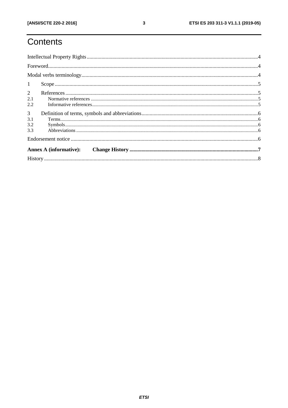# Contents

| 1                                   |  |
|-------------------------------------|--|
| $2^{\circ}$<br>2.1<br>2.2           |  |
| $\mathfrak{Z}$<br>3.1<br>3.2<br>3.3 |  |
|                                     |  |
|                                     |  |
|                                     |  |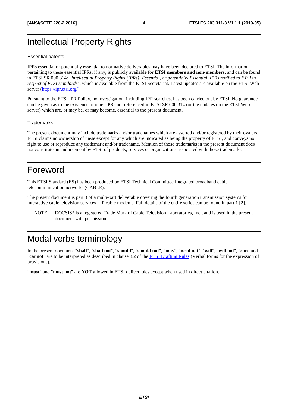### <span id="page-3-0"></span>Intellectual Property Rights

#### Essential patents

IPRs essential or potentially essential to normative deliverables may have been declared to ETSI. The information pertaining to these essential IPRs, if any, is publicly available for **ETSI members and non-members**, and can be found in ETSI SR 000 314: *"Intellectual Property Rights (IPRs); Essential, or potentially Essential, IPRs notified to ETSI in respect of ETSI standards"*, which is available from the ETSI Secretariat. Latest updates are available on the ETSI Web server ([https://ipr.etsi.org/\)](https://ipr.etsi.org/).

Pursuant to the ETSI IPR Policy, no investigation, including IPR searches, has been carried out by ETSI. No guarantee can be given as to the existence of other IPRs not referenced in ETSI SR 000 314 (or the updates on the ETSI Web server) which are, or may be, or may become, essential to the present document.

#### **Trademarks**

The present document may include trademarks and/or tradenames which are asserted and/or registered by their owners. ETSI claims no ownership of these except for any which are indicated as being the property of ETSI, and conveys no right to use or reproduce any trademark and/or tradename. Mention of those trademarks in the present document does not constitute an endorsement by ETSI of products, services or organizations associated with those trademarks.

#### Foreword

This ETSI Standard (ES) has been produced by ETSI Technical Committee Integrated broadband cable telecommunication networks (CABLE).

The present document is part 3 of a multi-part deliverable covering the fourth generation transmission systems for interactive cable television services - IP cable modems. Full details of the entire series can be found in part 1 [\[2](#page-4-0)].

NOTE: DOCSIS® is a registered Trade Mark of Cable Television Laboratories, Inc., and is used in the present document with permission.

### Modal verbs terminology

In the present document "**shall**", "**shall not**", "**should**", "**should not**", "**may**", "**need not**", "**will**", "**will not**", "**can**" and "**cannot**" are to be interpreted as described in clause 3.2 of the [ETSI Drafting Rules](https://portal.etsi.org/Services/editHelp!/Howtostart/ETSIDraftingRules.aspx) (Verbal forms for the expression of provisions).

"**must**" and "**must not**" are **NOT** allowed in ETSI deliverables except when used in direct citation.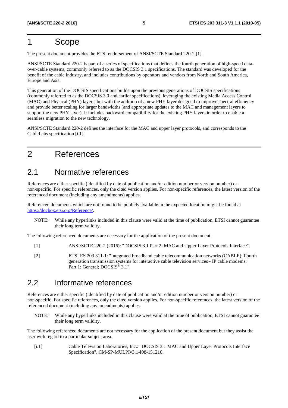### <span id="page-4-0"></span>1 Scope

The present document provides the ETSI endorsement of ANSI/SCTE Standard 220-2 [1].

ANSI/SCTE Standard 220-2 is part of a series of specifications that defines the fourth generation of high-speed dataover-cable systems, commonly referred to as the DOCSIS 3.1 specifications. The standard was developed for the benefit of the cable industry, and includes contributions by operators and vendors from North and South America, Europe and Asia.

This generation of the DOCSIS specifications builds upon the previous generations of DOCSIS specifications (commonly referred to as the DOCSIS 3.0 and earlier specifications), leveraging the existing Media Access Control (MAC) and Physical (PHY) layers, but with the addition of a new PHY layer designed to improve spectral efficiency and provide better scaling for larger bandwidths (and appropriate updates to the MAC and management layers to support the new PHY layer). It includes backward compatibility for the existing PHY layers in order to enable a seamless migration to the new technology.

ANSI/SCTE Standard 220-2 defines the interface for the MAC and upper layer protocols, and corresponds to the CableLabs specification [i.1].

### 2 References

#### 2.1 Normative references

References are either specific (identified by date of publication and/or edition number or version number) or non-specific. For specific references, only the cited version applies. For non-specific references, the latest version of the referenced document (including any amendments) applies.

Referenced documents which are not found to be publicly available in the expected location might be found at <https://docbox.etsi.org/Reference/>.

NOTE: While any hyperlinks included in this clause were valid at the time of publication, ETSI cannot guarantee their long term validity.

The following referenced documents are necessary for the application of the present document.

- [1] ANSI/SCTE 220-2 (2016): "DOCSIS 3.1 Part 2: MAC and Upper Layer Protocols Interface".
- [2] ETSI ES 203 311-1: "Integrated broadband cable telecommunication networks (CABLE); Fourth generation transmission systems for interactive cable television services - IP cable modems; Part 1: General; DOCSIS<sup>®</sup> 3.1".

#### 2.2 Informative references

References are either specific (identified by date of publication and/or edition number or version number) or non-specific. For specific references, only the cited version applies. For non-specific references, the latest version of the referenced document (including any amendments) applies.

NOTE: While any hyperlinks included in this clause were valid at the time of publication, ETSI cannot guarantee their long term validity.

The following referenced documents are not necessary for the application of the present document but they assist the user with regard to a particular subject area.

[i.1] Cable Television Laboratories, Inc.: "DOCSIS 3.1 MAC and Upper Layer Protocols Interface Specification", CM-SP-MULPIv3.1-I08-151210.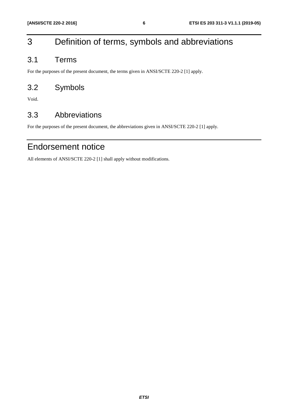## <span id="page-5-0"></span>3 Definition of terms, symbols and abbreviations

### 3.1 Terms

For the purposes of the present document, the terms given in ANSI/SCTE 220-2 [[1\]](#page-4-0) apply.

### 3.2 Symbols

Void.

### 3.3 Abbreviations

For the purposes of the present document, the abbreviations given in ANSI/SCTE 220-2 [\[1](#page-4-0)] apply.

### Endorsement notice

All elements of ANSI/SCTE 220-2 [\[1](#page-4-0)] shall apply without modifications.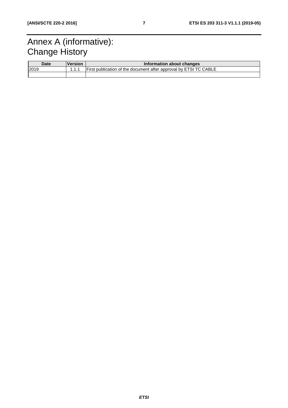# <span id="page-6-0"></span>Annex A (informative): **Change History**

| <b>Date</b> | <b>Version</b> | Information about changes                                         |  |  |
|-------------|----------------|-------------------------------------------------------------------|--|--|
| 2019        |                | First publication of the document after approval by ETSI TC CABLE |  |  |
|             |                |                                                                   |  |  |